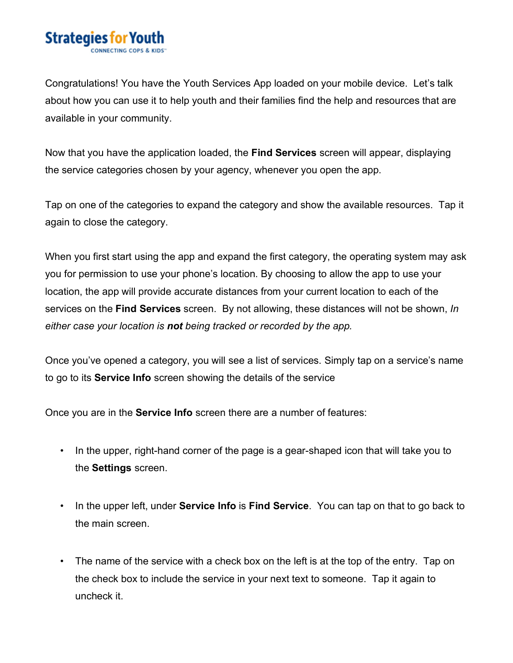## **Strategies for You**

Congratulations! You have the Youth Services App loaded on your mobile device. Let's talk about how you can use it to help youth and their families find the help and resources that are available in your community.

Now that you have the application loaded, the **Find Services** screen will appear, displaying the service categories chosen by your agency, whenever you open the app.

Tap on one of the categories to expand the category and show the available resources. Tap it again to close the category.

When you first start using the app and expand the first category, the operating system may ask you for permission to use your phone's location. By choosing to allow the app to use your location, the app will provide accurate distances from your current location to each of the services on the **Find Services** screen. By not allowing, these distances will not be shown, *In either case your location is not being tracked or recorded by the app.*

Once you've opened a category, you will see a list of services. Simply tap on a service's name to go to its **Service Info** screen showing the details of the service

Once you are in the **Service Info** screen there are a number of features:

- In the upper, right-hand corner of the page is a gear-shaped icon that will take you to the **Settings** screen.
- In the upper left, under **Service Info** is **Find Service**. You can tap on that to go back to the main screen.
- The name of the service with a check box on the left is at the top of the entry. Tap on the check box to include the service in your next text to someone. Tap it again to uncheck it.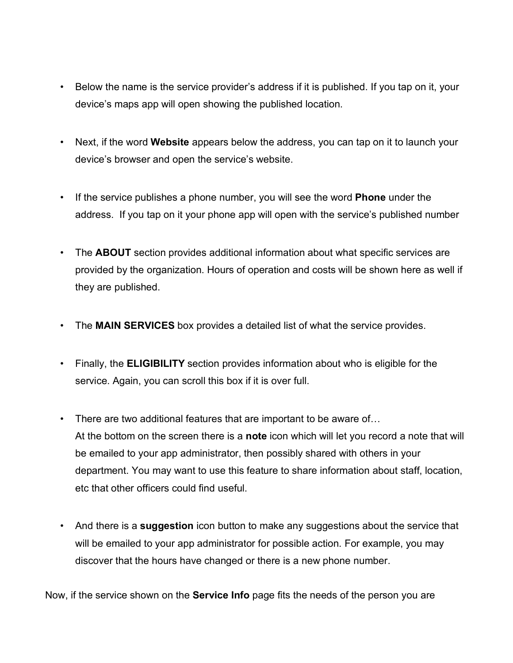- Below the name is the service provider's address if it is published. If you tap on it, your device's maps app will open showing the published location.
- Next, if the word **Website** appears below the address, you can tap on it to launch your device's browser and open the service's website.
- If the service publishes a phone number, you will see the word **Phone** under the address. If you tap on it your phone app will open with the service's published number
- The **ABOUT** section provides additional information about what specific services are provided by the organization. Hours of operation and costs will be shown here as well if they are published.
- The **MAIN SERVICES** box provides a detailed list of what the service provides.
- Finally, the **ELIGIBILITY** section provides information about who is eligible for the service. Again, you can scroll this box if it is over full.
- There are two additional features that are important to be aware of… At the bottom on the screen there is a **note** icon which will let you record a note that will be emailed to your app administrator, then possibly shared with others in your department. You may want to use this feature to share information about staff, location, etc that other officers could find useful.
- And there is a **suggestion** icon button to make any suggestions about the service that will be emailed to your app administrator for possible action. For example, you may discover that the hours have changed or there is a new phone number.

Now, if the service shown on the **Service Info** page fits the needs of the person you are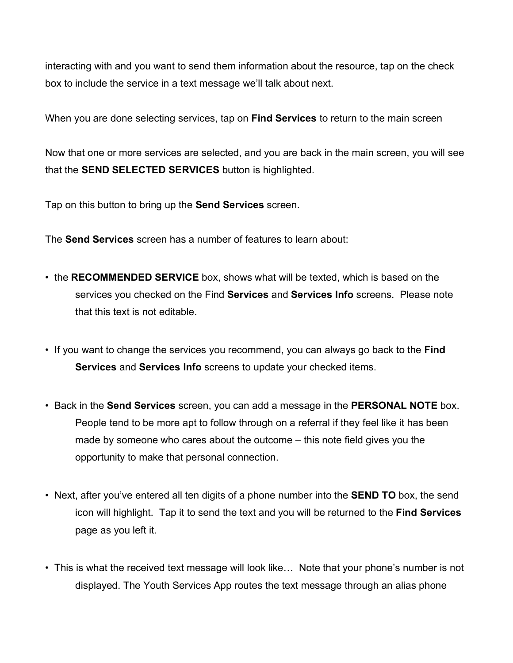interacting with and you want to send them information about the resource, tap on the check box to include the service in a text message we'll talk about next.

When you are done selecting services, tap on **Find Services** to return to the main screen

Now that one or more services are selected, and you are back in the main screen, you will see that the **SEND SELECTED SERVICES** button is highlighted.

Tap on this button to bring up the **Send Services** screen.

The **Send Services** screen has a number of features to learn about:

- the **RECOMMENDED SERVICE** box, shows what will be texted, which is based on the services you checked on the Find **Services** and **Services Info** screens. Please note that this text is not editable.
- If you want to change the services you recommend, you can always go back to the **Find Services** and **Services Info** screens to update your checked items.
- Back in the **Send Services** screen, you can add a message in the **PERSONAL NOTE** box. People tend to be more apt to follow through on a referral if they feel like it has been made by someone who cares about the outcome – this note field gives you the opportunity to make that personal connection.
- Next, after you've entered all ten digits of a phone number into the **SEND TO** box, the send icon will highlight. Tap it to send the text and you will be returned to the **Find Services** page as you left it.
- This is what the received text message will look like... Note that your phone's number is not displayed. The Youth Services App routes the text message through an alias phone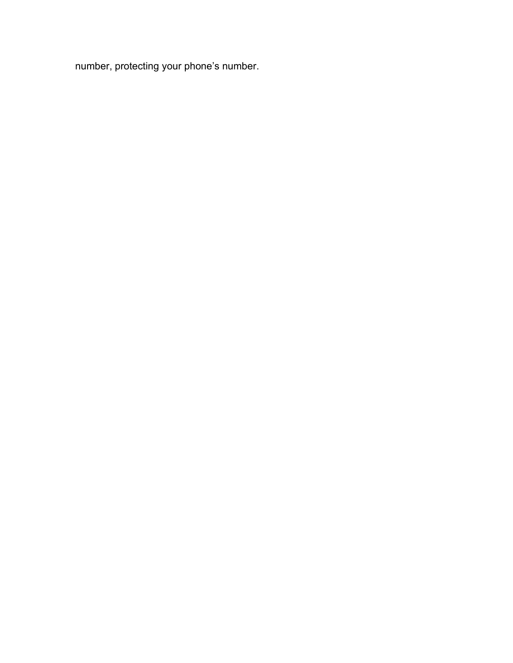number, protecting your phone's number.